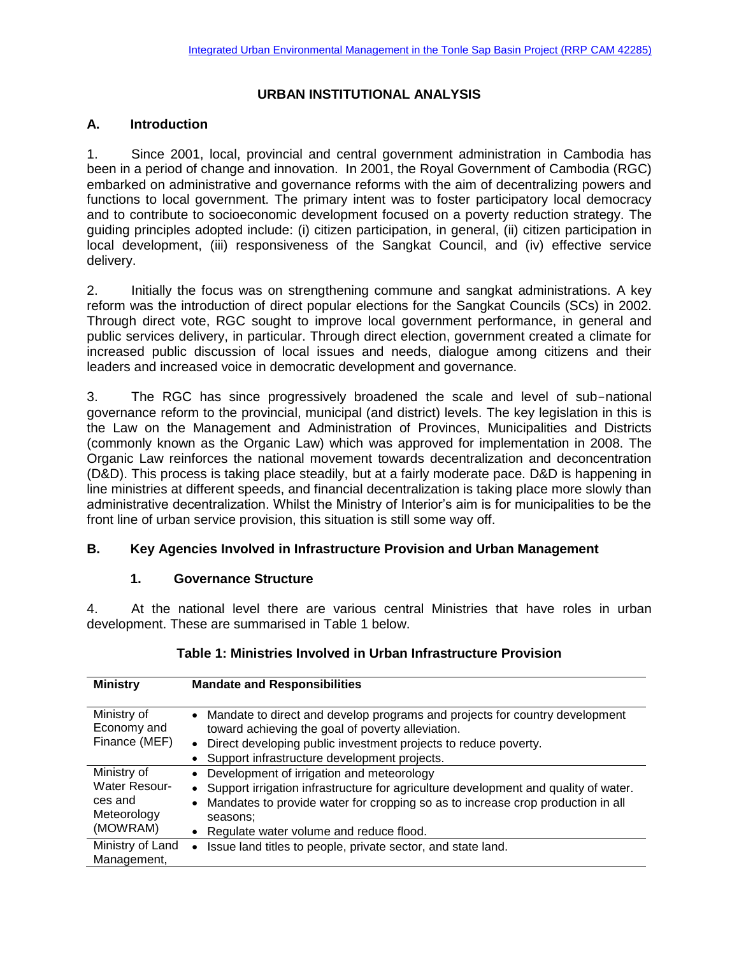## **URBAN INSTITUTIONAL ANALYSIS**

## **A. Introduction**

1. Since 2001, local, provincial and central government administration in Cambodia has been in a period of change and innovation. In 2001, the Royal Government of Cambodia (RGC) embarked on administrative and governance reforms with the aim of decentralizing powers and functions to local government. The primary intent was to foster participatory local democracy and to contribute to socioeconomic development focused on a poverty reduction strategy. The guiding principles adopted include: (i) citizen participation, in general, (ii) citizen participation in local development, (iii) responsiveness of the Sangkat Council, and (iv) effective service delivery.

2. Initially the focus was on strengthening commune and sangkat administrations. A key reform was the introduction of direct popular elections for the Sangkat Councils (SCs) in 2002. Through direct vote, RGC sought to improve local government performance, in general and public services delivery, in particular. Through direct election, government created a climate for increased public discussion of local issues and needs, dialogue among citizens and their leaders and increased voice in democratic development and governance.

3. The RGC has since progressively broadened the scale and level of sub-national governance reform to the provincial, municipal (and district) levels. The key legislation in this is the Law on the Management and Administration of Provinces, Municipalities and Districts (commonly known as the Organic Law) which was approved for implementation in 2008. The Organic Law reinforces the national movement towards decentralization and deconcentration (D&D). This process is taking place steadily, but at a fairly moderate pace. D&D is happening in line ministries at different speeds, and financial decentralization is taking place more slowly than administrative decentralization. Whilst the Ministry of Interior's aim is for municipalities to be the front line of urban service provision, this situation is still some way off.

## **B. Key Agencies Involved in Infrastructure Provision and Urban Management**

#### **1. Governance Structure**

4. At the national level there are various central Ministries that have roles in urban development. These are summarised in Table 1 below.

| <b>Ministry</b>                                                           | <b>Mandate and Responsibilities</b>                                                                                                                                                                                                                                                           |
|---------------------------------------------------------------------------|-----------------------------------------------------------------------------------------------------------------------------------------------------------------------------------------------------------------------------------------------------------------------------------------------|
| Ministry of<br>Economy and<br>Finance (MEF)                               | • Mandate to direct and develop programs and projects for country development<br>toward achieving the goal of poverty alleviation.<br>Direct developing public investment projects to reduce poverty.<br>$\bullet$<br>Support infrastructure development projects.                            |
| Ministry of<br><b>Water Resour-</b><br>ces and<br>Meteorology<br>(MOWRAM) | • Development of irrigation and meteorology<br>• Support irrigation infrastructure for agriculture development and quality of water.<br>Mandates to provide water for cropping so as to increase crop production in all<br>$\bullet$<br>seasons:<br>• Regulate water volume and reduce flood. |
| Ministry of Land<br>Management,                                           | Issue land titles to people, private sector, and state land.<br>$\bullet$                                                                                                                                                                                                                     |

#### **Table 1: Ministries Involved in Urban Infrastructure Provision**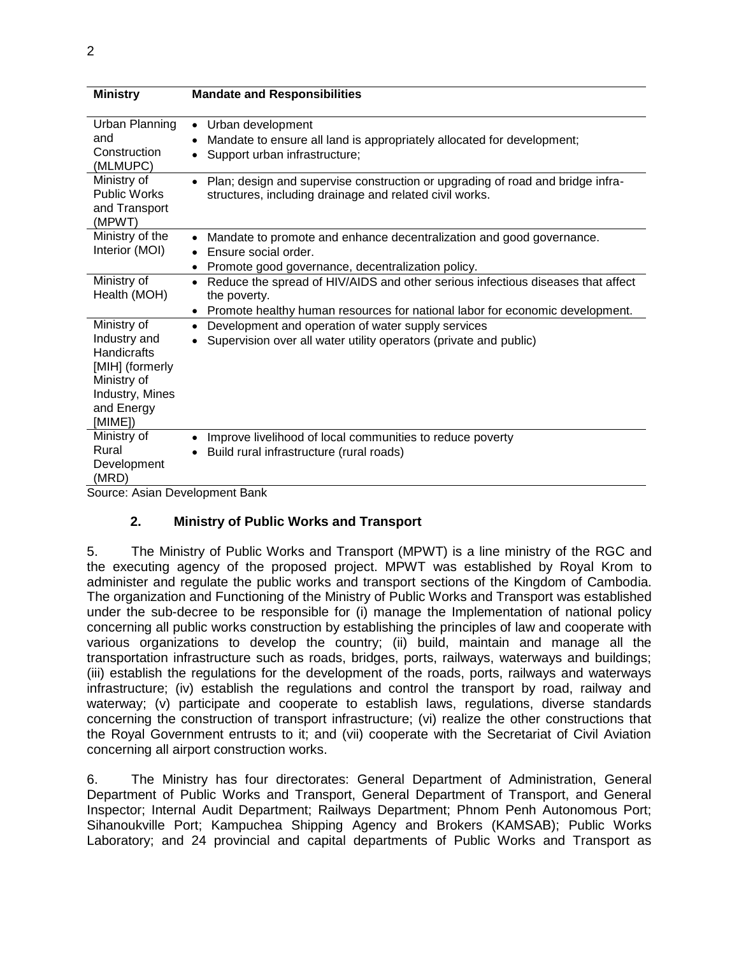| <b>Ministry</b>                                                                                                                 | <b>Mandate and Responsibilities</b>                                                                                                                                                                       |
|---------------------------------------------------------------------------------------------------------------------------------|-----------------------------------------------------------------------------------------------------------------------------------------------------------------------------------------------------------|
| Urban Planning<br>and<br>Construction<br>(MLMUPC)                                                                               | Urban development<br>$\bullet$<br>Mandate to ensure all land is appropriately allocated for development;<br>٠<br>Support urban infrastructure;<br>$\bullet$                                               |
| Ministry of<br><b>Public Works</b><br>and Transport<br>(MPWT)                                                                   | Plan; design and supervise construction or upgrading of road and bridge infra-<br>$\bullet$<br>structures, including drainage and related civil works.                                                    |
| Ministry of the<br>Interior (MOI)                                                                                               | Mandate to promote and enhance decentralization and good governance.<br>$\bullet$<br>Ensure social order.<br>$\bullet$<br>Promote good governance, decentralization policy.<br>$\bullet$                  |
| Ministry of<br>Health (MOH)                                                                                                     | Reduce the spread of HIV/AIDS and other serious infectious diseases that affect<br>$\bullet$<br>the poverty.<br>Promote healthy human resources for national labor for economic development.<br>$\bullet$ |
| Ministry of<br>Industry and<br><b>Handicrafts</b><br>[MIH] (formerly<br>Ministry of<br>Industry, Mines<br>and Energy<br>[MIME]) | Development and operation of water supply services<br>$\bullet$<br>Supervision over all water utility operators (private and public)                                                                      |
| Ministry of<br>Rural<br>Development<br>(MRD)                                                                                    | Improve livelihood of local communities to reduce poverty<br>$\bullet$<br>Build rural infrastructure (rural roads)<br>$\bullet$                                                                           |
| Source: Asian Development Bank                                                                                                  |                                                                                                                                                                                                           |

## **2. Ministry of Public Works and Transport**

5. The Ministry of Public Works and Transport (MPWT) is a line ministry of the RGC and the executing agency of the proposed project. MPWT was established by Royal Krom to administer and regulate the public works and transport sections of the Kingdom of Cambodia. The organization and Functioning of the Ministry of Public Works and Transport was established under the sub-decree to be responsible for (i) manage the Implementation of national policy concerning all public works construction by establishing the principles of law and cooperate with various organizations to develop the country; (ii) build, maintain and manage all the transportation infrastructure such as roads, bridges, ports, railways, waterways and buildings; (iii) establish the regulations for the development of the roads, ports, railways and waterways infrastructure; (iv) establish the regulations and control the transport by road, railway and waterway; (v) participate and cooperate to establish laws, regulations, diverse standards concerning the construction of transport infrastructure; (vi) realize the other constructions that the Royal Government entrusts to it; and (vii) cooperate with the Secretariat of Civil Aviation concerning all airport construction works.

6. The Ministry has four directorates: General Department of Administration, General Department of Public Works and Transport, General Department of Transport, and General Inspector; Internal Audit Department; Railways Department; Phnom Penh Autonomous Port; Sihanoukville Port; Kampuchea Shipping Agency and Brokers (KAMSAB); Public Works Laboratory; and 24 provincial and capital departments of Public Works and Transport as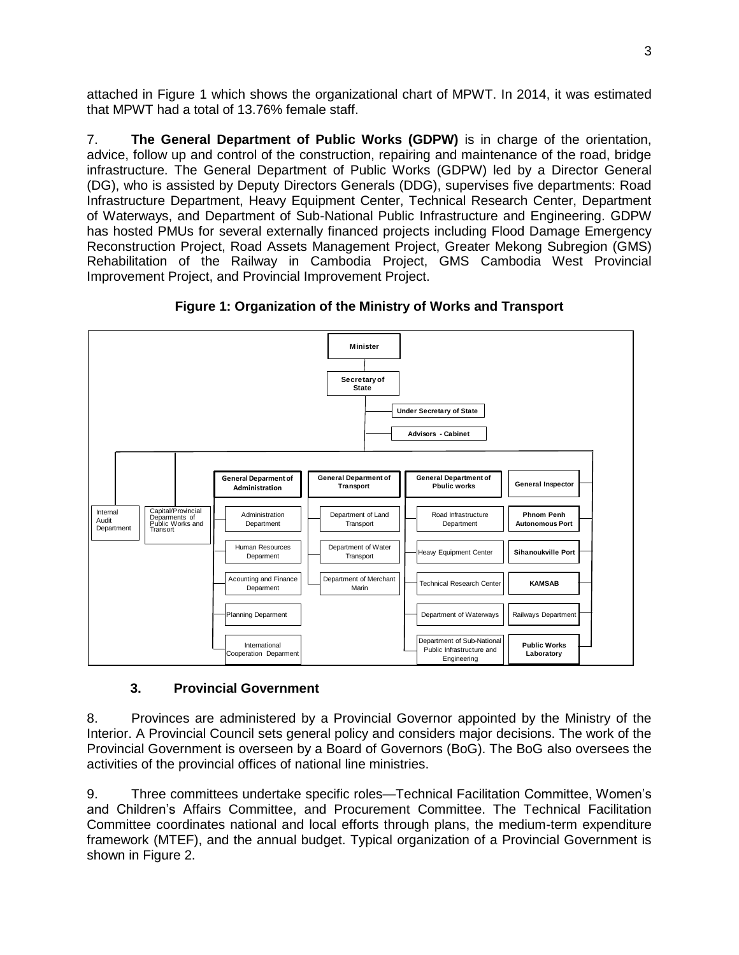attached in Figure 1 which shows the organizational chart of MPWT. In 2014, it was estimated that MPWT had a total of 13.76% female staff.

7. **The General Department of Public Works (GDPW)** is in charge of the orientation, advice, follow up and control of the construction, repairing and maintenance of the road, bridge infrastructure. The General Department of Public Works (GDPW) led by a Director General (DG), who is assisted by Deputy Directors Generals (DDG), supervises five departments: Road Infrastructure Department, Heavy Equipment Center, Technical Research Center, Department of Waterways, and Department of Sub-National Public Infrastructure and Engineering. GDPW has hosted PMUs for several externally financed projects including Flood Damage Emergency Reconstruction Project, Road Assets Management Project, Greater Mekong Subregion (GMS) Rehabilitation of the Railway in Cambodia Project, GMS Cambodia West Provincial Improvement Project, and Provincial Improvement Project.



**Figure 1: Organization of the Ministry of Works and Transport**

# **3. Provincial Government**

8. Provinces are administered by a Provincial Governor appointed by the Ministry of the Interior. A Provincial Council sets general policy and considers major decisions. The work of the Provincial Government is overseen by a Board of Governors (BoG). The BoG also oversees the activities of the provincial offices of national line ministries.

9. Three committees undertake specific roles—Technical Facilitation Committee, Women's and Children's Affairs Committee, and Procurement Committee. The Technical Facilitation Committee coordinates national and local efforts through plans, the medium-term expenditure framework (MTEF), and the annual budget. Typical organization of a Provincial Government is shown in Figure 2.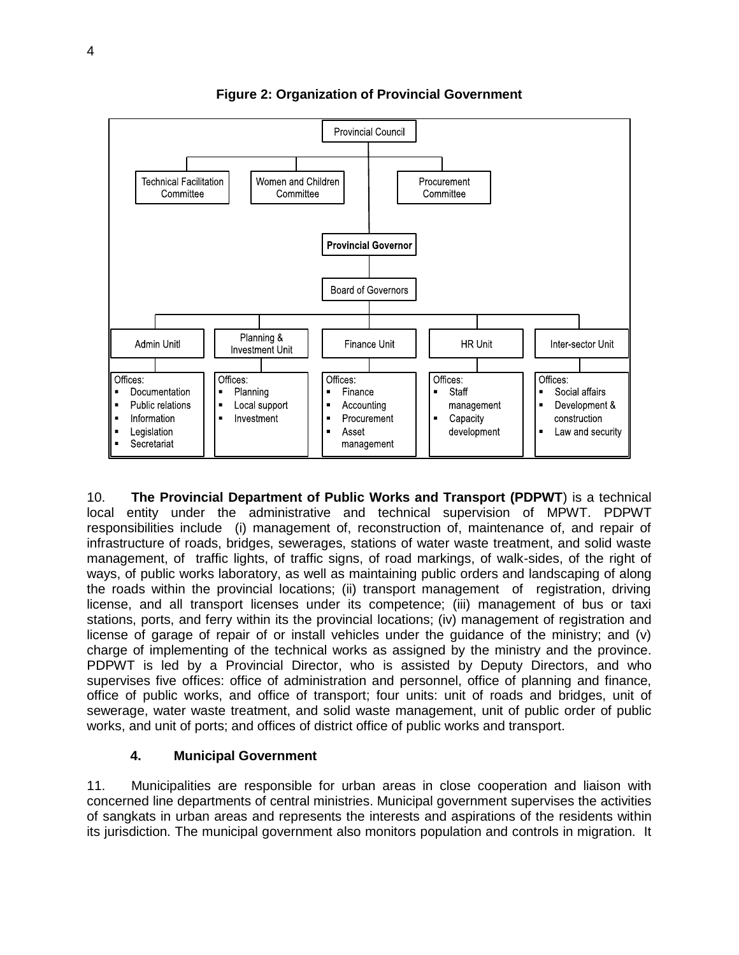

**Figure 2: Organization of Provincial Government**

10. **The Provincial Department of Public Works and Transport (PDPWT**) is a technical local entity under the administrative and technical supervision of MPWT. PDPWT responsibilities include (i) management of, reconstruction of, maintenance of, and repair of infrastructure of roads, bridges, sewerages, stations of water waste treatment, and solid waste management, of traffic lights, of traffic signs, of road markings, of walk-sides, of the right of ways, of public works laboratory, as well as maintaining public orders and landscaping of along the roads within the provincial locations; (ii) transport management of registration, driving license, and all transport licenses under its competence; (iii) management of bus or taxi stations, ports, and ferry within its the provincial locations; (iv) management of registration and license of garage of repair of or install vehicles under the guidance of the ministry; and (v) charge of implementing of the technical works as assigned by the ministry and the province. PDPWT is led by a Provincial Director, who is assisted by Deputy Directors, and who supervises five offices: office of administration and personnel, office of planning and finance, office of public works, and office of transport; four units: unit of roads and bridges, unit of sewerage, water waste treatment, and solid waste management, unit of public order of public works, and unit of ports; and offices of district office of public works and transport.

#### **4. Municipal Government**

11. Municipalities are responsible for urban areas in close cooperation and liaison with concerned line departments of central ministries. Municipal government supervises the activities of sangkats in urban areas and represents the interests and aspirations of the residents within its jurisdiction. The municipal government also monitors population and controls in migration. It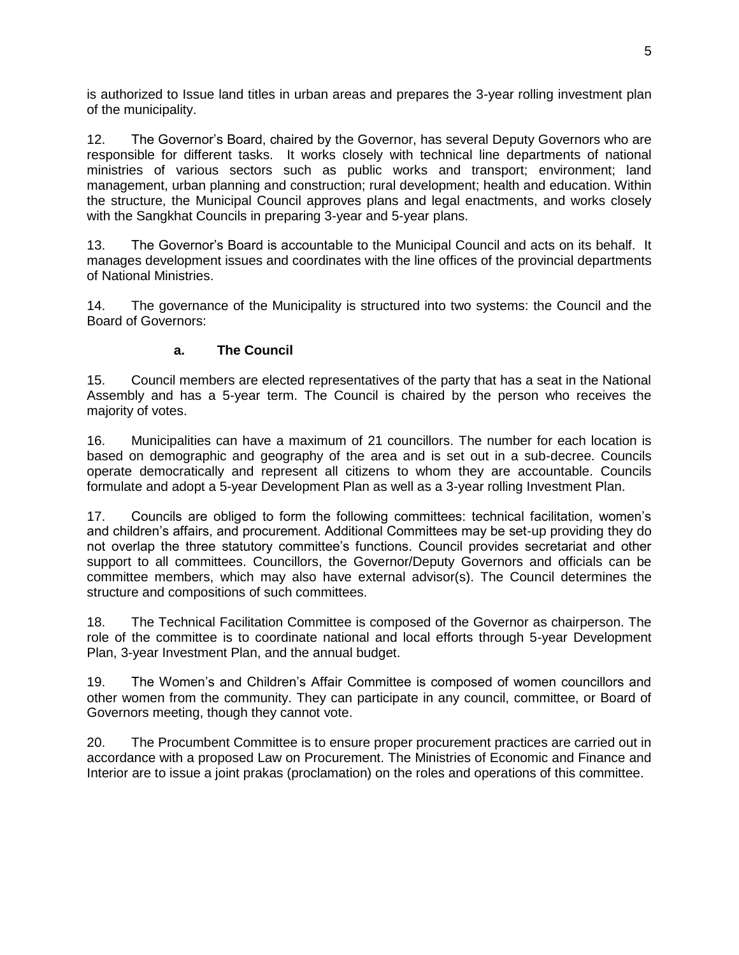is authorized to Issue land titles in urban areas and prepares the 3-year rolling investment plan of the municipality.

12. The Governor's Board, chaired by the Governor, has several Deputy Governors who are responsible for different tasks. It works closely with technical line departments of national ministries of various sectors such as public works and transport; environment; land management, urban planning and construction; rural development; health and education. Within the structure, the Municipal Council approves plans and legal enactments, and works closely with the Sangkhat Councils in preparing 3-year and 5-year plans.

13. The Governor's Board is accountable to the Municipal Council and acts on its behalf. It manages development issues and coordinates with the line offices of the provincial departments of National Ministries.

14. The governance of the Municipality is structured into two systems: the Council and the Board of Governors:

#### **a. The Council**

15. Council members are elected representatives of the party that has a seat in the National Assembly and has a 5-year term. The Council is chaired by the person who receives the majority of votes.

16. Municipalities can have a maximum of 21 councillors. The number for each location is based on demographic and geography of the area and is set out in a sub-decree. Councils operate democratically and represent all citizens to whom they are accountable. Councils formulate and adopt a 5-year Development Plan as well as a 3-year rolling Investment Plan.

17. Councils are obliged to form the following committees: technical facilitation, women's and children's affairs, and procurement. Additional Committees may be set-up providing they do not overlap the three statutory committee's functions. Council provides secretariat and other support to all committees. Councillors, the Governor/Deputy Governors and officials can be committee members, which may also have external advisor(s). The Council determines the structure and compositions of such committees.

18. The Technical Facilitation Committee is composed of the Governor as chairperson. The role of the committee is to coordinate national and local efforts through 5-year Development Plan, 3-year Investment Plan, and the annual budget.

19. The Women's and Children's Affair Committee is composed of women councillors and other women from the community. They can participate in any council, committee, or Board of Governors meeting, though they cannot vote.

20. The Procumbent Committee is to ensure proper procurement practices are carried out in accordance with a proposed Law on Procurement. The Ministries of Economic and Finance and Interior are to issue a joint prakas (proclamation) on the roles and operations of this committee.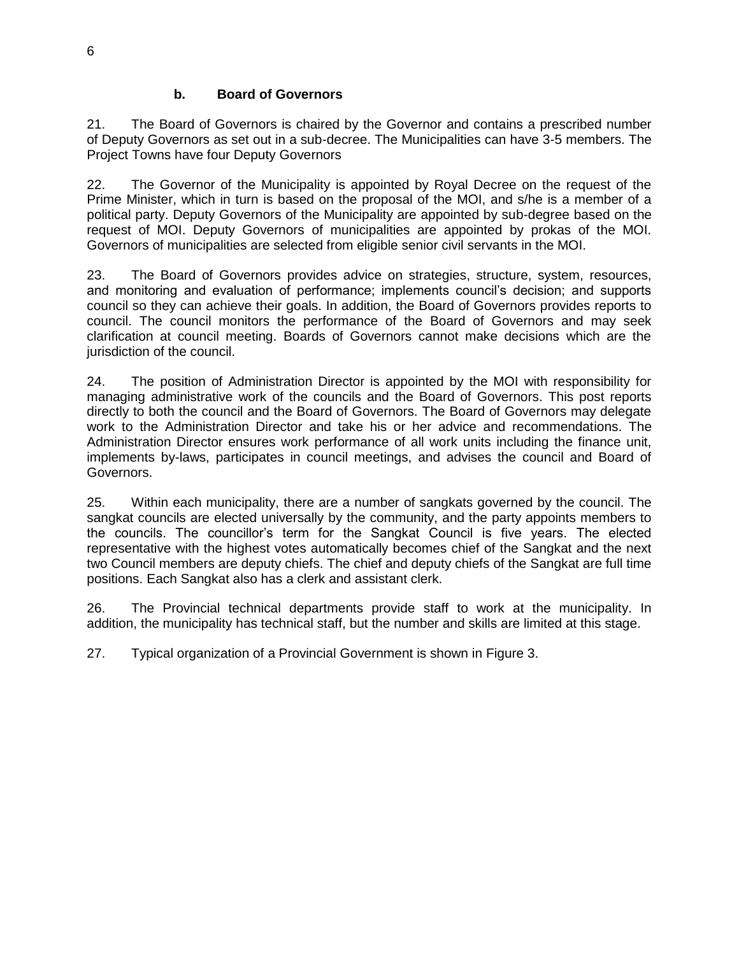## **b. Board of Governors**

21. The Board of Governors is chaired by the Governor and contains a prescribed number of Deputy Governors as set out in a sub-decree. The Municipalities can have 3-5 members. The Project Towns have four Deputy Governors

22. The Governor of the Municipality is appointed by Royal Decree on the request of the Prime Minister, which in turn is based on the proposal of the MOI, and s/he is a member of a political party. Deputy Governors of the Municipality are appointed by sub-degree based on the request of MOI. Deputy Governors of municipalities are appointed by prokas of the MOI. Governors of municipalities are selected from eligible senior civil servants in the MOI.

23. The Board of Governors provides advice on strategies, structure, system, resources, and monitoring and evaluation of performance; implements council's decision; and supports council so they can achieve their goals. In addition, the Board of Governors provides reports to council. The council monitors the performance of the Board of Governors and may seek clarification at council meeting. Boards of Governors cannot make decisions which are the jurisdiction of the council.

24. The position of Administration Director is appointed by the MOI with responsibility for managing administrative work of the councils and the Board of Governors. This post reports directly to both the council and the Board of Governors. The Board of Governors may delegate work to the Administration Director and take his or her advice and recommendations. The Administration Director ensures work performance of all work units including the finance unit, implements by-laws, participates in council meetings, and advises the council and Board of Governors.

25. Within each municipality, there are a number of sangkats governed by the council. The sangkat councils are elected universally by the community, and the party appoints members to the councils. The councillor's term for the Sangkat Council is five years. The elected representative with the highest votes automatically becomes chief of the Sangkat and the next two Council members are deputy chiefs. The chief and deputy chiefs of the Sangkat are full time positions. Each Sangkat also has a clerk and assistant clerk.

26. The Provincial technical departments provide staff to work at the municipality. In addition, the municipality has technical staff, but the number and skills are limited at this stage.

27. Typical organization of a Provincial Government is shown in Figure 3.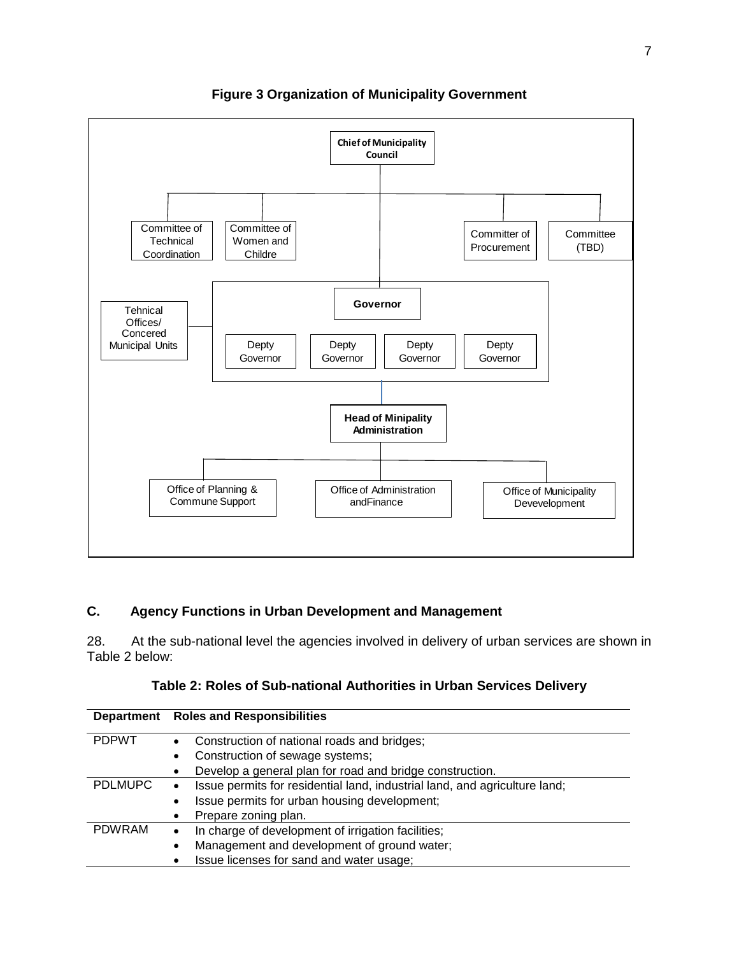

**Figure 3 Organization of Municipality Government**

# **C. Agency Functions in Urban Development and Management**

28. At the sub-national level the agencies involved in delivery of urban services are shown in Table 2 below:

|                | Department Roles and Responsibilities                                                   |
|----------------|-----------------------------------------------------------------------------------------|
| <b>PDPWT</b>   | Construction of national roads and bridges;<br>$\bullet$                                |
|                | Construction of sewage systems;<br>$\bullet$                                            |
|                | Develop a general plan for road and bridge construction.<br>$\bullet$                   |
| <b>PDLMUPC</b> | Issue permits for residential land, industrial land, and agriculture land;<br>$\bullet$ |
|                | Issue permits for urban housing development;<br>$\bullet$                               |
|                | Prepare zoning plan.<br>$\bullet$                                                       |
| <b>PDWRAM</b>  | In charge of development of irrigation facilities;<br>$\bullet$                         |
|                | Management and development of ground water;<br>$\bullet$                                |
|                | Issue licenses for sand and water usage;<br>٠                                           |

| Table 2: Roles of Sub-national Authorities in Urban Services Delivery |  |  |
|-----------------------------------------------------------------------|--|--|
|                                                                       |  |  |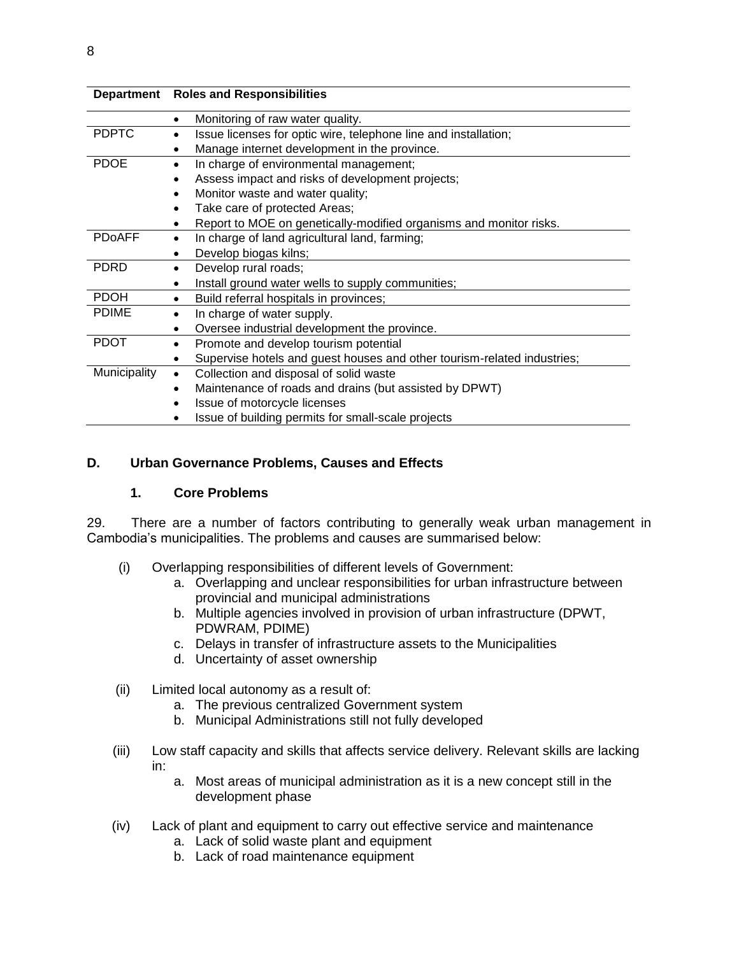|               | Department Roles and Responsibilities                                        |  |
|---------------|------------------------------------------------------------------------------|--|
|               | Monitoring of raw water quality.<br>٠                                        |  |
| <b>PDPTC</b>  | Issue licenses for optic wire, telephone line and installation;<br>$\bullet$ |  |
|               | Manage internet development in the province.<br>٠                            |  |
| <b>PDOE</b>   | In charge of environmental management;<br>٠                                  |  |
|               | Assess impact and risks of development projects;<br>$\bullet$                |  |
|               | Monitor waste and water quality;<br>$\bullet$                                |  |
|               | Take care of protected Areas;<br>$\bullet$                                   |  |
|               | Report to MOE on genetically-modified organisms and monitor risks.           |  |
| <b>PDoAFF</b> | In charge of land agricultural land, farming;<br>٠                           |  |
|               | Develop biogas kilns;<br>٠                                                   |  |
| <b>PDRD</b>   | Develop rural roads;<br>$\bullet$                                            |  |
|               | Install ground water wells to supply communities;<br>$\bullet$               |  |
| <b>PDOH</b>   | Build referral hospitals in provinces;<br>٠                                  |  |
| <b>PDIME</b>  | In charge of water supply.<br>٠                                              |  |
|               | Oversee industrial development the province.<br>$\bullet$                    |  |
| <b>PDOT</b>   | Promote and develop tourism potential<br>$\bullet$                           |  |
|               | Supervise hotels and guest houses and other tourism-related industries;<br>٠ |  |
| Municipality  | Collection and disposal of solid waste<br>$\bullet$                          |  |
|               | Maintenance of roads and drains (but assisted by DPWT)<br>$\bullet$          |  |
|               | Issue of motorcycle licenses                                                 |  |
|               | Issue of building permits for small-scale projects                           |  |

## **D. Urban Governance Problems, Causes and Effects**

#### **1. Core Problems**

29. There are a number of factors contributing to generally weak urban management in Cambodia's municipalities. The problems and causes are summarised below:

- (i) Overlapping responsibilities of different levels of Government:
	- a. Overlapping and unclear responsibilities for urban infrastructure between provincial and municipal administrations
	- b. Multiple agencies involved in provision of urban infrastructure (DPWT, PDWRAM, PDIME)
	- c. Delays in transfer of infrastructure assets to the Municipalities
	- d. Uncertainty of asset ownership
- (ii) Limited local autonomy as a result of:
	- a. The previous centralized Government system
	- b. Municipal Administrations still not fully developed
- (iii) Low staff capacity and skills that affects service delivery. Relevant skills are lacking in:
	- a. Most areas of municipal administration as it is a new concept still in the development phase
- (iv) Lack of plant and equipment to carry out effective service and maintenance
	- a. Lack of solid waste plant and equipment
	- b. Lack of road maintenance equipment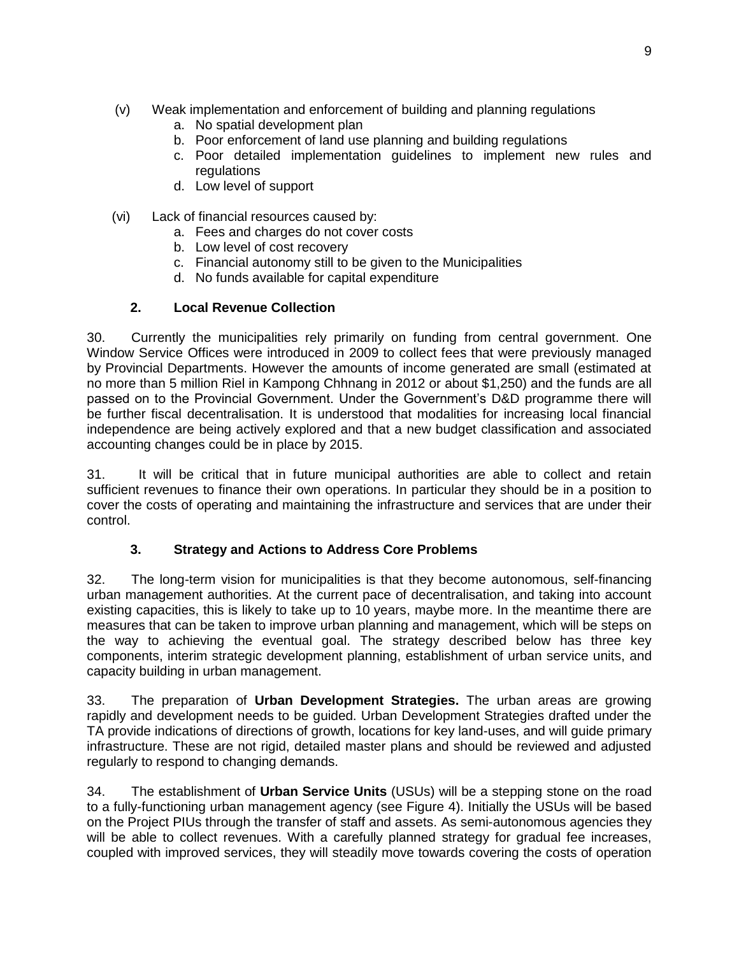- (v) Weak implementation and enforcement of building and planning regulations
	- a. No spatial development plan
	- b. Poor enforcement of land use planning and building regulations
	- c. Poor detailed implementation guidelines to implement new rules and regulations
	- d. Low level of support
- (vi) Lack of financial resources caused by:
	- a. Fees and charges do not cover costs
	- b. Low level of cost recovery
	- c. Financial autonomy still to be given to the Municipalities
	- d. No funds available for capital expenditure

## **2. Local Revenue Collection**

30. Currently the municipalities rely primarily on funding from central government. One Window Service Offices were introduced in 2009 to collect fees that were previously managed by Provincial Departments. However the amounts of income generated are small (estimated at no more than 5 million Riel in Kampong Chhnang in 2012 or about \$1,250) and the funds are all passed on to the Provincial Government. Under the Government's D&D programme there will be further fiscal decentralisation. It is understood that modalities for increasing local financial independence are being actively explored and that a new budget classification and associated accounting changes could be in place by 2015.

31. It will be critical that in future municipal authorities are able to collect and retain sufficient revenues to finance their own operations. In particular they should be in a position to cover the costs of operating and maintaining the infrastructure and services that are under their control.

# **3. Strategy and Actions to Address Core Problems**

32. The long-term vision for municipalities is that they become autonomous, self-financing urban management authorities. At the current pace of decentralisation, and taking into account existing capacities, this is likely to take up to 10 years, maybe more. In the meantime there are measures that can be taken to improve urban planning and management, which will be steps on the way to achieving the eventual goal. The strategy described below has three key components, interim strategic development planning, establishment of urban service units, and capacity building in urban management.

33. The preparation of **Urban Development Strategies.** The urban areas are growing rapidly and development needs to be guided. Urban Development Strategies drafted under the TA provide indications of directions of growth, locations for key land-uses, and will guide primary infrastructure. These are not rigid, detailed master plans and should be reviewed and adjusted regularly to respond to changing demands.

34. The establishment of **Urban Service Units** (USUs) will be a stepping stone on the road to a fully-functioning urban management agency (see Figure 4). Initially the USUs will be based on the Project PIUs through the transfer of staff and assets. As semi-autonomous agencies they will be able to collect revenues. With a carefully planned strategy for gradual fee increases, coupled with improved services, they will steadily move towards covering the costs of operation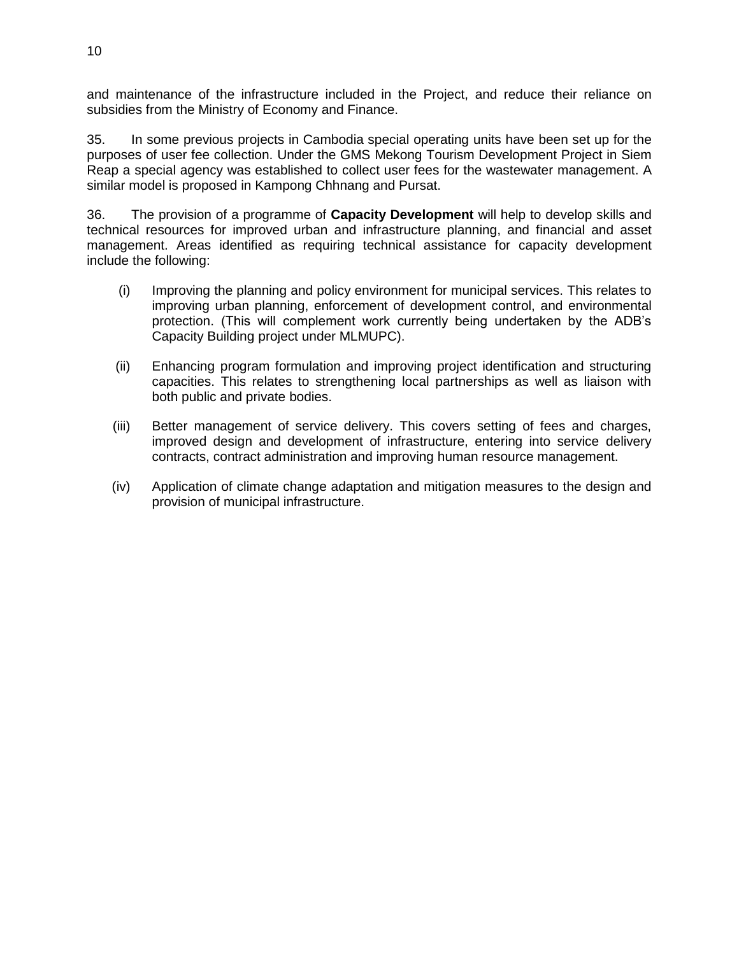and maintenance of the infrastructure included in the Project, and reduce their reliance on subsidies from the Ministry of Economy and Finance.

35. In some previous projects in Cambodia special operating units have been set up for the purposes of user fee collection. Under the GMS Mekong Tourism Development Project in Siem Reap a special agency was established to collect user fees for the wastewater management. A similar model is proposed in Kampong Chhnang and Pursat.

36. The provision of a programme of **Capacity Development** will help to develop skills and technical resources for improved urban and infrastructure planning, and financial and asset management. Areas identified as requiring technical assistance for capacity development include the following:

- (i) Improving the planning and policy environment for municipal services. This relates to improving urban planning, enforcement of development control, and environmental protection. (This will complement work currently being undertaken by the ADB's Capacity Building project under MLMUPC).
- (ii) Enhancing program formulation and improving project identification and structuring capacities. This relates to strengthening local partnerships as well as liaison with both public and private bodies.
- (iii) Better management of service delivery. This covers setting of fees and charges, improved design and development of infrastructure, entering into service delivery contracts, contract administration and improving human resource management.
- (iv) Application of climate change adaptation and mitigation measures to the design and provision of municipal infrastructure.